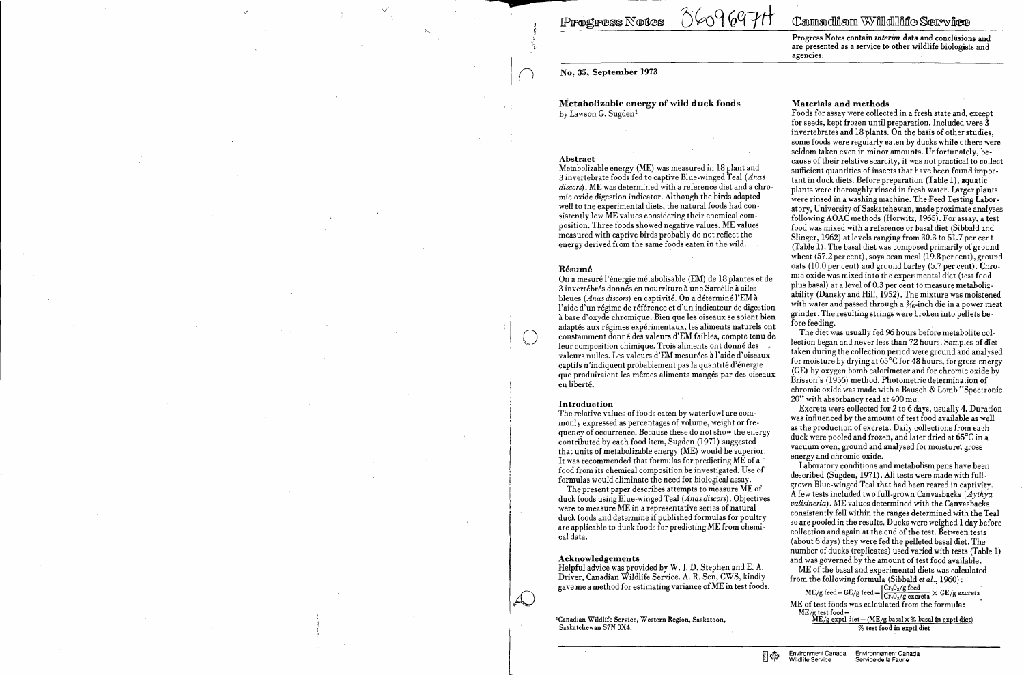**Progress Notes** 

0609697H

**D** 

.)

Metabolizable energy of wild duek foods by Lawson G. Sugden<sup>1</sup>

*n* No~ 35, September 1973

#### Abstract

Metabolizable energy (ME) was measured in 18 plant and 3 invertebrate foods fed to captive Blue-winged Teal *(Anas discors).* ME was determined with a reference diet and a chromic oxide digestion indicator. Although the birds adapted well to the experimental diets, the natural foods had consistently low ME values considering their chemical composition. Three foods showed negative values. ME values measured with captive birds probably do not reflect the energy derived from the same foods eaten in the wild.

#### Résumé

On a mesuré l'énergie métabolisable (EM) de 18 plantes et de 3 invertébrés donnés en nourriture à une Sarcèlle à ailes bleues *(Anas discors)* en captivité. On a déterminé l'EM à l'aide d'un régime de référence et d'un indicateur de digestion à base d'oxyde chromique. Bien que les oiseaux se soient bien adaptés aux régimes expérimentaux, les aliments naturels ont constamment donné des valeurs d'EM faibles, compte tenu de leur composition chimique. Trois aliments ont donné des valeurs nulles. Les valeurs d'EM mesurées à l'aide d'oiseaux captifs n'indiquent probablement pas la quantité d'énergie que produiraient les mêmes aliments mangés par des oiseaux en liberté.

The present paper describes attempts to measure ME of duck foods using Blue-winged Teal (Anas discors). Objectives were to measure ME in a representative series of natural duck foods and determine if published formulas for poultry are applicable to duck foods for predicting ME from chemical data.

<sup>1</sup>Canadian Wildlife Service, Western Region, Saskatoon, Saskatchewan S7N OX4.

ПФ

# Camadiam Willdlliffe Service

#### Introduction

The relative values of foods eaten by waterfowl are commonly expressed as percentages of volume, weight or fre· quency of occurrence. Because these do not show the energy contributed by each food item, Sugden (1971) suggested that units of metabolizable energy  $(ME)$  would be superior. It was recommended that formulas for predicting ME of a . food from its chemical composition be investigated. Use of formulas would eliminate the need for biological assay.

The diet was usually fed 96 hours before metaholite collection began and never less than 72 hours. Samples of diet taken during the collection period were ground and analysed for moisture by drying at 65°C for 48hours, for gross energy (GE) by oxygen bomb calorimeter and for chromic oxide by Brisson's (1956) method. Photometric determination of chromic oxide was made with a Bausch & Lomb "Spectronic 20" with absorbancy read at 400 m $\mu$ .

#### Acknowledgements

Helpful advice was provided by  $W.$  J. D. Stephen and E. A. Driver, Canadian Wildlife Service. A. R. Sen, CWS, kindly gave me a method for estimating variance of ME in test foods. Progress Notes contain *interim* data and conclusions and are presented as a service to other wildlife biologists and agencies.

## Materials and methods

Foods for assav were collected in a fresh state and, except for seeds, kept frozen until preparation. Included were 3 invertebrates an'd 18 plants. On the basis of other studies, sorne foods were regularly eaten by ducks while others were seldom taken even in minor amounts. Unfortunately, because of their relative scarcity, it was not practical to collect sufficient quantities of insects that have been found important in duck diets. Before preparation (Table 1), aquatic plants were thoroughly rinsed in fresh water. Larger plants were rinsed in a washing machine. The Feed Testing Laboratory, University of Saskatchewan, made proximate analyses following AOAC methods (Horwitz, 1965). For assay, a test food was mixed with a reference or basal diet (Sibbald and Slinger, 1962) at levels ranging from 30.3 to 51.7 per cent (Table 1). The basal diet was composed primarily of ground wheat (57.2 per cent), soya bean meal (19.8 per cent), ground oats (10.0 per cent) and ground barley (5.7 per cent). Chro· mic oxide was mixed into the experimental diet (test food plus basal) at a level of 0.3 per cent to measure metabolizability (Dansky and Hill, 1952). The mixture was moistened with water and passed through a  $\frac{1}{6}$ -inch die in a power meat grinder. The resulting strings were broken into pellets be· fore feeding.

Excreta were collected for 2 to 6 days, usually 4. Duration was influenced by the amount of test food available as well as the production of excreta. Daily collections from each duck were pooled and frozen, and later dried at 65°C in a vacuum oven, ground and analysed for moisture', gross energy and chromic oxide.

Laboratory conditions and metabolism pens have heen described (Sugden, 1971). All tests were made with fullgrown Blue.winged Teal that had been reared in captivity. A few tests included two full-grown Canvasbacks *(Aythya valisineria).* ME values determined with the Canvasbacks consistently fell within the ranges determined with the Tea} so are pooled in the results. Ducks were weighed 1 day hefore collection and again at the end of the test. Between tests (about 6 days) they were fed the pelleted basal diet. The number of ducks (replicates) used varied with tests (Table l) and was governed by the amount of test food available.

ME of the basal and experimental diets was calculated from the following formula (Sibbald *et al.,* 1960) :

 $\rm{ME/g \,\, feed}\!=\! G E/g \,\rm{feed}\! =\! \left[\frac{Cr_2 O_3/g \,\rm{feed}}{Cr_2 O_3/g \,\rm{excreta}}\times G E/g \,\rm{excreta}\right]$ ME of test foods was calculated from the formula:  $ME/g$  test food =  $ME/g$  card diet - (ME/g basal $\times$ % basal in exptl diet)

% test food in exptl diet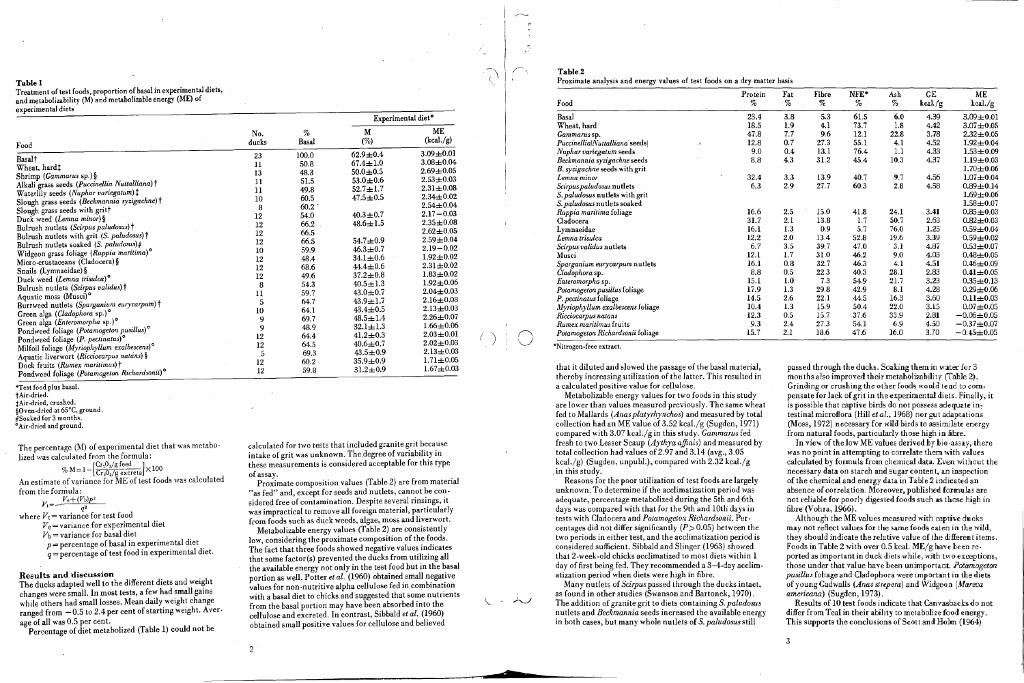## Table 1

Treatment of test foods, proportion of basal in experimental diets, and metabolizability (M) and metabolizable energy (ME) of experimental diets

"Test food plus basal. tAir-dried. tAir-dried, crushed.

§Oven-dried at 65°C, ground.

#Soaked for 3 months.

° Air-dried and ground.

The percentage (M) of experimental diet that was metabolized was calculated from the formula:

$$
\% M = 1 - \left[ \frac{Cr_2O_3/g \text{ feed}}{Cr_2O_3/g \text{ excited}} \right] \times 100
$$

calculated for two tests that included granite grit because intake of grit was unknown. The.degree of variability in these measurements is considered acceptable for this type of assay.

An estimate of variance for ME of test foods was calculated from the formula:

$$
V_1 = \frac{V_e + (V_b)p^2}{2}
$$

$$
V_t = \frac{q^2}{q^2}
$$

where  $V_t$  = variance for test food  $V_e$  = variance for experimental diet

 $V<sub>b</sub>$  = variance for basal diet

*p* = percentage of basal in experimental diet *q* = percentage of test food in experimental diet.

Results and discussion

The ducks adapted weIl to the different diets and weight changes were small. In most tests, a few had small gains while others had small losses. Mean daily weight change ranged from  $-0.5$  to 2.4 per cent of starting weight. Average of aIl was 0.5 per cent.

Percentage of diet metabolized (Table 1) could not be

| Food                                                                              | No.<br>ducks  |               | Experimental diet* |                 |  |
|-----------------------------------------------------------------------------------|---------------|---------------|--------------------|-----------------|--|
|                                                                                   |               | $\%$<br>Basal | M<br>(%)           | ME<br>(kcal./g) |  |
| Basal†                                                                            | 23            | 100.0         | $62.9 \pm 0.4$     | $3.09 + 0.01$   |  |
| Wheat, hard‡                                                                      | $\mathbf{11}$ | 50.8          | $67.4 \pm 1.0$     | $3.08 + 0.04$   |  |
|                                                                                   | 13            | 48.3          | $50.0 \pm 0.5$     | $2.69 + 0.05$   |  |
| Shrimp ( <i>Gammarus</i> sp.) §<br>Alkali grass seeds (Puccinellia Nuttalliana) † | 11            | 51.5          | $53.0 \pm 0.6$     | $2.53 \pm 0.03$ |  |
|                                                                                   | 11            | 49.8          | $52.7 \pm 1.7$     | $2.31 \pm 0.08$ |  |
| Waterlily seeds (Nuphar variegatum) $\ddagger$                                    | 10            | 60.5          | $47.5 \pm 0.5$     | $2.34 + 0.02$   |  |
| Slough grass seeds (Beckmannia syzigachne)†                                       | 8             | 60.2          |                    | $2.54 \pm 0.04$ |  |
| Slough grass seeds with gritt                                                     | 12            | 54.0          | $40.3 \pm 0.7$     | $2.17 - 0.03$   |  |
| Duck weed (Lemna minor) §                                                         | 12            | 66.2          | $48.6 \pm 1.5$     | $2.35 + 0.08$   |  |
| Bulrush nutlets (Scirpus paludosus) †                                             | $12\,$        | 66.5          |                    | $2.62 + 0.05$   |  |
| Bulrush nutlets with grit (S. paludosus)†                                         | 12            | 66.5          | $54.7 \pm 0.9$     | $2.59 \pm 0.04$ |  |
| Bulrush nutlets soaked $(S. paludosus)$ #                                         | 10            | 59.9          | $46.3 \pm 0.7$     | $2.19 - 0.02$   |  |
| Widgeon grass foliage (Ruppia maritima) <sup>o</sup>                              | 12            | 48.4          | $34.1 \pm 0.6$     | $1.92 + 0.02$   |  |
| Micro-crustaceans (Cladocera) §                                                   | 12            | 68.6          | $44.4 \pm 0.6$     | $2.31 \pm 0.02$ |  |
| Snails (Lymnaeidae) §                                                             | $12\,$        | 49.6          | $37.2 \pm 0.8$     | $1.83 \pm 0.02$ |  |
| Duck weed (Lemna trisulca) <sup>o</sup>                                           | 8             | 54.3          | $40.5 \pm 1.3$     | $1.92 \pm 0.06$ |  |
| Bulrush nutlets (Scirpus validus) †                                               |               | 59.7          | $43.0 \pm 0.7$     | $2.04 \pm 0.03$ |  |
| Aquatic moss (Musci)°                                                             | $_{11}$       |               | $43.9 \pm 1.7$     | $2.16 \pm 0.08$ |  |
| Burrweed nutlets (Sparganium eurycarpum) †                                        | 5             | 64.7          | $43.4 \pm 0.5$     | $2.13 + 0.03$   |  |
| Green alga (Cladophora sp.)°                                                      | 10            | 64.1          | $48.5 \pm 1.4$     | $2.26 \pm 0.07$ |  |
| Green alga (Enteromorpha sp.)°                                                    | 9             | 69.7          |                    | $1.66 \pm 0.06$ |  |
| Pondweed foliage (Potamogeton pusillus) <sup>°</sup>                              | 9             | 48.9          | $32.1 \pm 1.3$     | $2.03 \pm 0.01$ |  |
| Pondweed foliage (P. pectinatus) <sup>o</sup>                                     | 12            | 64.4          | $41.2 \pm 0.3$     | $2.02 + 0.03$   |  |
| Milfoil foliage (Myriophyllum exalbescens) <sup>o</sup>                           | 12            | 64.5          | $40.6 \pm 0.7$     |                 |  |
| Aquatic liverwort (Ricciocarpus natans) §                                         | 5             | 69.3          | $43.5 \pm 0.9$     | $2.13 \pm 0.03$ |  |
| Dock fruits (Rumex maritimus) †                                                   | $12\,$        | 60.2          | $35.9 \pm 0.9$     | $1.71 \pm 0.05$ |  |
| Pondweed foliage (Potamogeton Richardsonii) <sup>o</sup>                          | 12            | 59.8          | $31.2 \pm 0.9$     | $1.67 + 0.03$   |  |

Proximate composition values (Table 2) are from material "as fed" and, except for seeds and nutlets, cannot be considered free of contamination. Despite several rinsings, it was impractical to remove aIl foreign material, particularly from foods such as duck weeds, algae, moss and liverwort.

Metabolizable energy values (Table 2) are'consistently low, considering the proximate composition of the foods. The fact that three foods showed negative values indicates that sorne factor(s) prevented the ducks from utilizing aIl the available energy not only in the test food but in the basal portion as weil. Potter *et al.* (1960) obtained small negative values for non-nutritive alpha cellulose fed in combination with a basal diet to chicks and suggested that some nutrients from the basal portion may have been absorbed into the cellulose and excreted. In contrast, Sibbald *et al. (1960)*  obtained small positive values for cellulose and believed

2

*n* 

 $\bigcap$ 

Proximate analysis and energy values of test foods on a dry matter



**2** 



 $\cup$ 

passed through the ducks. Soaking them in water for 3 months also improved their metabolizability (Table 2). Grinding or crushing the other foods would tend to compensate for lack of grit in the experimental diets. Finally, it is possible that captive birds do not possess adequate intestinal microflora (Hill *et al.*, 1968) nor gut adaptations (Moss, 1972) necessary for wild birds to assimilate energy from natural foods, particularly those high in fibre.

In view of the low ME values derived by  $\mathbf{b}$  io assay, there was no point in attempting to correlate them with values calculated by formula from chemical data. Even without the necessary data on starch and sugar content, an inspection of the chemical and energy data in Table 2 indicated an absence of correlation. Moreover, published formulas are not reliable for poorly digested foods such as those high in fibre (Vohra,  $1966$ ).

## Table 2

Results of 10 test foods indicate that Canvasbacks do not differ from Teal in their ability to metabolize food energy. This supports the conclusions of Scott and Holm  $(1964)$ 

\*Nitrogen-free extract.

that it diluted and slowed the passage of the basal material, thereby increasing utilization of the latter. This resulted in a calculated positive value for cellulose.

Metabolizable energy values for two foods in this study are lower than values measured previously. The same wheat fed to Mallards *(Anas platyrhynchos)* and measured by total collection had an ME value of 3.52 kcal./g (Sugden, 1971) compared with 3.07 kcal./g in this study. *Gammarus* fed fresh to two Lesser Scaup (*Aythya affinis*) and measured by total collection had values of  $2.97$  and  $3.14$  (avg.,  $3.05$ ) kcal./g) (Sugden, unpubl.), compared with  $2.32$  kcal./g . in this study.

| Food                                            | Protein<br>% | Fat<br>% | Fibre<br>$\%$ | NFE*<br>% | Ash<br>% | GE<br>kcal/g | ME<br>kcal/g     |
|-------------------------------------------------|--------------|----------|---------------|-----------|----------|--------------|------------------|
| Basal                                           | 23.4         | 3.8      | 5.3           | 61.5      | 6.0      | 4.39         | $3.09 + 0.01$    |
| Wheat, hard                                     | 18.5         | 1.9      | 4.1           | 73.7      | 1.8      | 4.42         | $3.07 + 0.05$    |
| Gammarus sp.                                    | 47.8         | 7.7      | 9.6           | 12.1      | 22.8     | 3.78         | $2.32 \pm 0.05$  |
| Puccinellia Nuttalliana seeds <br>$\mathcal{L}$ | 12.8         | 0.7      | 27.3          | 55.1      | 4.1      | 4.52         | $1.92 \pm 0.04$  |
| Nuphar variegatum seeds                         | 9.0          | 0.4      | 13.1          | 76.4      | 1.1      | 4.33         | $1.53 + 0.09$    |
| Beckmannia syzigachne seeds                     | 8.8          | 4.3      | 31.2          | 45.4      | 10.3     | 4.37         | $1.19 + 0.03$    |
| B. syzigachne seeds with grit                   |              |          |               |           |          |              | $1.70 + 0.06$    |
| Lemna minor                                     | 32.4         | 3.3      | 13.9          | 40.7      | 9.7      | 4.56         | $1.07 + 0.04$    |
| Scirpus paludosus nutlets                       | 6.3          | 2.9      | 27.7          | 60.3      | 2.8      | 4.58         | $0.89 + 0.14$    |
| S. paludosus nutlets with grit                  |              |          |               |           |          |              | $1.69 + 0.06$    |
| S. paludosus nutlets soaked                     |              |          |               |           |          |              | $1.58 + 0.07$    |
| Ruppia maritima foliage                         | 16.6         | 2.5      | 15.0          | 41.8      | 24.1     | 3.41         | $0.85 + 0.03$    |
| Cladocera                                       | 31.7         | 2.1      | 13.8          | 1.7       | 50.7     | 2.63         | $0.82 + 0.03$    |
| Lymnaeidae                                      | 16.1         | 1.3      | 0.9           | 5.7       | 76.0     | 1.25         | $0.59 + 0.04$    |
| Lemna trisulca                                  | 12.2         | 2.0      | 13.4          | 52.8      | 19.6     | 3.39         | $0.59 + 0.02$    |
| Scirpus validus nutlets                         | 6.7          | 3.5      | 39.7          | 47.0      | 3.1      | 4.87         | $0.53 + 0.07$    |
| Musci                                           | 12.1         | 1.7      | 31.0          | 46.2      | 9.0      | 4.03         | $0.48 + 0.05$    |
| Sparganium eurycarpum nutlets                   | 16.1         | 0.8      | 32.7          | 46.3      | 4.1      | 4.51         | $0.46 + 0.09$    |
| Cladophora sp.                                  | $\bf 8.8$    | 0.5      | 22.3          | 40.3      | 28.1     | 2.83         | $0.41 \pm 0.05$  |
| Enteromorpha sp.                                | 15.1         | 1.0      | 7.3           | 54.9      | 21.7     | 3.23         | $0.35 + 0.13$    |
| Potamogeton pusillus foliage                    | 17.9         | 1.3      | 29.8          | 42.9      | 8.1      | 4.28         | $0.29 + 0.06$    |
| P. pectinatus foliage                           | 14.5         | 2.6      | 22.1          | 44.5      | 16.3     | 3.60         | $0.11 + 0.03$    |
| Myriophyllum exalbescens foliage                | 10.4         | 1.3      | 15.9          | 50.4      | 22.0     | 3.15         | $0.07 + 0.05$    |
| Ricciocarpus natans                             | 12.3         | 0.5      | 15.7          | 37.6      | 33.9     | 2.81         | $-0.06 \pm 0.05$ |
| Rumex maritimus fruits                          | 9.3          | 2.4      | 27.3          | 54.1      | 6.9      | 4.50         | $-0.37 + 0.07$   |
| Potamogeton Richardsonii foliage                | 15.7         | 2.1      | 18.6          | 47.6      | 16.0     | 3.70         | $-0.45 + 0.05$   |

Reasons for the poor utilization of test foods are largely unknown. To determine if the acclimatization period was adequate, percentage metabolized during the 5th and 6th days was compared with that for the 9th and 10th days in tests with Cladocera and *Potamogeton Richardsonii*. Percentages did not differ significantly  $(P> 0.05)$  between the two periods in either test, and the acclimatization period is considered sufficient. Sibbald and Slinger (1963) showed that 2-week·old chicks acclimatized to most diets within 1 day of first being fed. They recommended a 3-4.day acclimatization period when diets were high in fibre.

Many nutlets of *Scirpus* passed through the ducks intact, as found in other studies (Swanson and Bartonek, 1970) . The addition of granite grit to diets containing *S. paludosus*  nutlets and *Beckmannia* seeds increased the available energy in both cases, but many whole nutlets of *S. paludosus* still

Although the ME values measured with captive dueks may not reflect values for the same foods eaten in the wild. they should indicate the relative value of the different items. Foods in Table 2 with over 0.5 kcal.  $ME/g$  have been reported as important in duek diets while, with two exceptions, those under that val ue have been un important. *Potœmogeton pusil/us* foliage and Cladophora were important in the diets of young Gadwalls *(Anas strepera)* and Widgeon *(Ml1reca americana)* (Sugden, 1973).